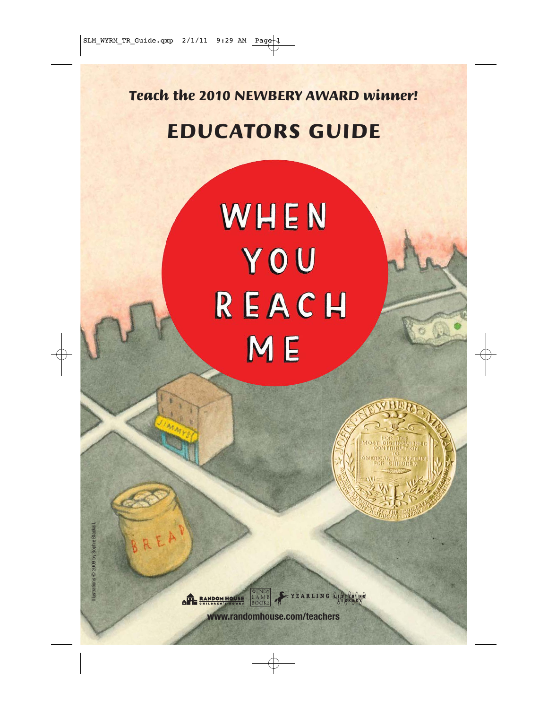Teach the 2010 NEWBERY AWARD winner!

# EDUCATORS GUIDE

# WHEN YOU REACH ME



**LAME OP BANDOM HOUSE** 

YEARLING A

**www.randomhouse.com/teachers**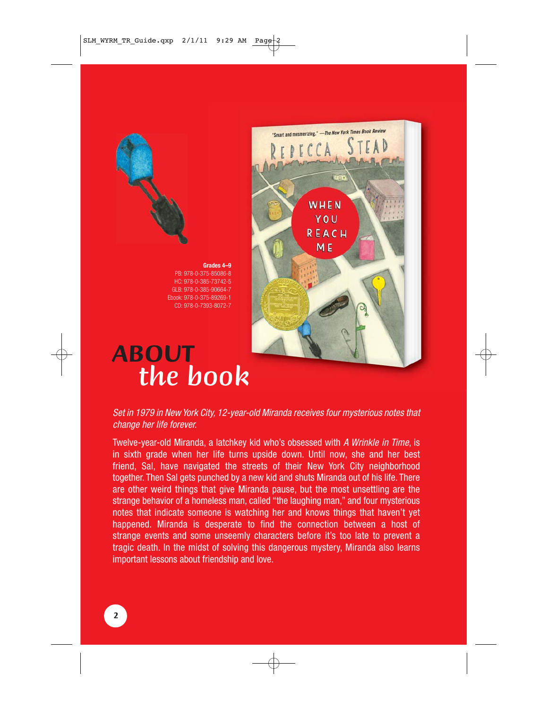



# "Smart and mesmerizing." -The New York Times Book Review WHEN YOU REACH ME

# **ABOUT** the book

#### Set in 1979 in New York City, 12-year-old Miranda receives four mysterious notes that change her life forever.

Twelve-year-old Miranda, a latchkey kid who's obsessed with A Wrinkle in Time, is in sixth grade when her life turns upside down. Until now, she and her best friend, Sal, have navigated the streets of their New York City neighborhood together. Then Sal gets punched by a new kid and shuts Miranda out of his life. There are other weird things that give Miranda pause, but the most unsettling are the strange behavior of a homeless man, called "the laughing man," and four mysterious notes that indicate someone is watching her and knows things that haven't yet happened. Miranda is desperate to find the connection between a host of strange events and some unseemly characters before it's too late to prevent a tragic death. In the midst of solving this dangerous mystery, Miranda also learns important lessons about friendship and love.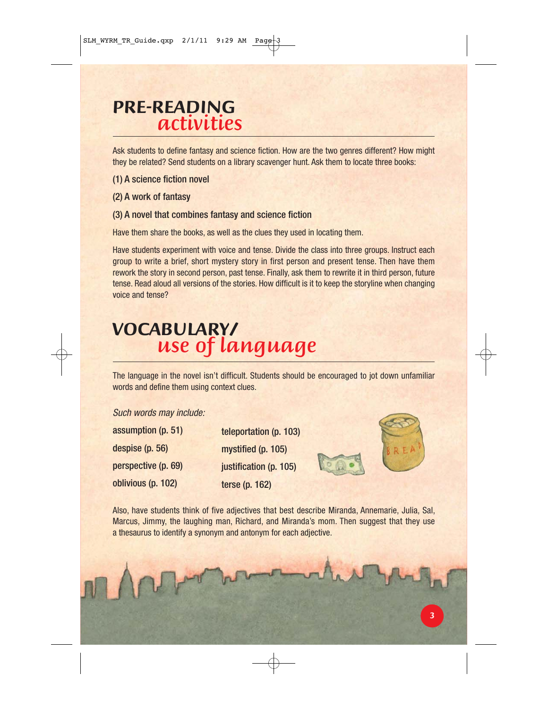# **PRE-READING** activities

Ask students to define fantasy and science fiction. How are the two genres different? How might they be related? Send students on a library scavenger hunt. Ask them to locate three books:

- (1) A science fiction novel
- (2) A work of fantasy

#### (3) A novel that combines fantasy and science fiction

Have them share the books, as well as the clues they used in locating them.

Have students experiment with voice and tense. Divide the class into three groups. Instruct each group to write a brief, short mystery story in first person and present tense. Then have them rework the story in second person, past tense. Finally, ask them to rewrite it in third person, future tense. Read aloud all versions of the stories. How difficult is it to keep the storyline when changing voice and tense?

# **VOCABULARY/** use of language

The language in the novel isn't difficult. Students should be encouraged to jot down unfamiliar words and define them using context clues.

#### Such words may include:

| assumption (p. 51)  |
|---------------------|
| despise (p. 56)     |
| perspective (p. 69) |
| oblivious (p. 102)  |

teleportation (p. 103) mystified (p. 105) justification (p. 105) terse (p. 162)



Also, have students think of five adjectives that best describe Miranda, Annemarie, Julia, Sal, Marcus, Jimmy, the laughing man, Richard, and Miranda's mom. Then suggest that they use a thesaurus to identify a synonym and antonym for each adjective.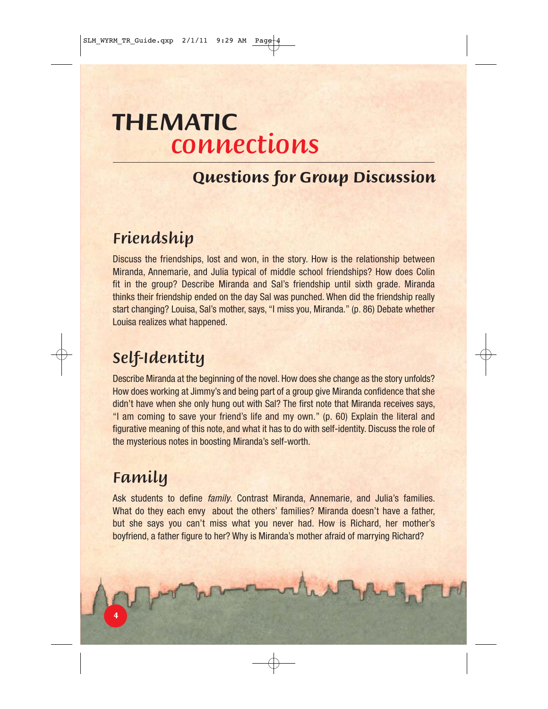# **THEMATIC** connections

### **Questions for Group Discussion**

## Friendship

Discuss the friendships, lost and won, in the story. How is the relationship between Miranda, Annemarie, and Julia typical of middle school friendships? How does Colin fit in the group? Describe Miranda and Sal's friendship until sixth grade. Miranda thinks their friendship ended on the day Sal was punched. When did the friendship really start changing? Louisa, Sal's mother, says, "I miss you, Miranda." (p. 86) Debate whether Louisa realizes what happened.

# Self-Identity

Describe Miranda at the beginning of the novel. How does she change as the story unfolds? How does working at Jimmy's and being part of a group give Miranda confidence that she didn't have when she only hung out with Sal? The first note that Miranda receives says, "I am coming to save your friend's life and my own." (p. 60) Explain the literal and figurative meaning of this note, and what it has to do with self-identity. Discuss the role of the mysterious notes in boosting Miranda's self-worth.

# Family

Ask students to define *family*. Contrast Miranda, Annemarie, and Julia's families. What do they each envy about the others' families? Miranda doesn't have a father, but she says you can't miss what you never had. How is Richard, her mother's boyfriend, a father figure to her? Why is Miranda's mother afraid of marrying Richard?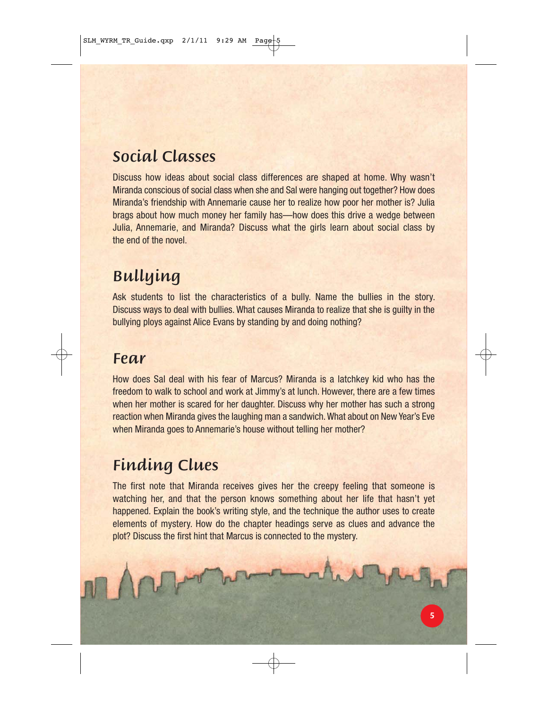# Social Classes

Discuss how ideas about social class differences are shaped at home. Why wasn't Miranda conscious of social class when she and Sal were hanging out together? How does Miranda's friendship with Annemarie cause her to realize how poor her mother is? Julia brags about how much money her family has—how does this drive a wedge between Julia, Annemarie, and Miranda? Discuss what the girls learn about social class by the end of the novel.

# Bullying

Ask students to list the characteristics of a bully. Name the bullies in the story. Discuss ways to deal with bullies. What causes Miranda to realize that she is guilty in the bullying ploys against Alice Evans by standing by and doing nothing?

### Fear

How does Sal deal with his fear of Marcus? Miranda is a latchkey kid who has the freedom to walk to school and work at Jimmy's at lunch. However, there are a few times when her mother is scared for her daughter. Discuss why her mother has such a strong reaction when Miranda gives the laughing man a sandwich. What about on New Year's Eve when Miranda goes to Annemarie's house without telling her mother?

# Finding Clues

The first note that Miranda receives gives her the creepy feeling that someone is watching her, and that the person knows something about her life that hasn't yet happened. Explain the book's writing style, and the technique the author uses to create elements of mystery. How do the chapter headings serve as clues and advance the plot? Discuss the first hint that Marcus is connected to the mystery.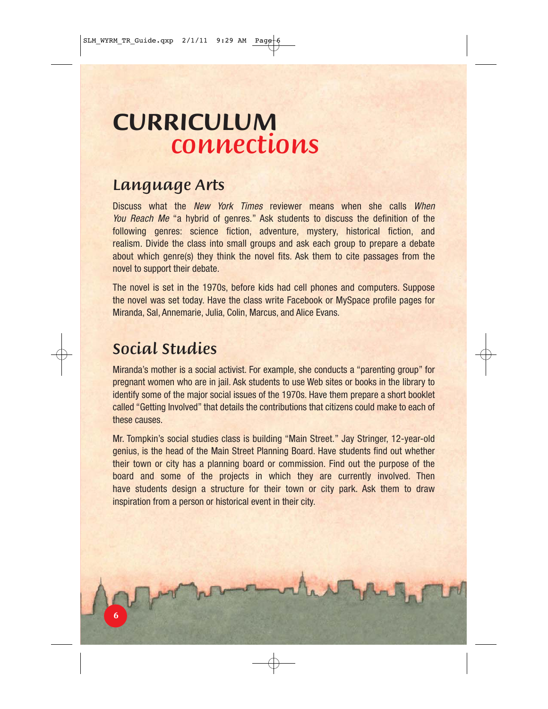# **CURRICULUM** connections

### Language Arts

Discuss what the New York Times reviewer means when she calls When You Reach Me "a hybrid of genres." Ask students to discuss the definition of the following genres: science fiction, adventure, mystery, historical fiction, and realism. Divide the class into small groups and ask each group to prepare a debate about which genre(s) they think the novel fits. Ask them to cite passages from the novel to support their debate.

The novel is set in the 1970s, before kids had cell phones and computers. Suppose the novel was set today. Have the class write Facebook or MySpace profile pages for Miranda, Sal, Annemarie, Julia, Colin, Marcus, and Alice Evans.

### Social Studies

Miranda's mother is a social activist. For example, she conducts a "parenting group" for pregnant women who are in jail. Ask students to use Web sites or books in the library to identify some of the major social issues of the 1970s. Have them prepare a short booklet called "Getting Involved" that details the contributions that citizens could make to each of these causes.

Mr. Tompkin's social studies class is building "Main Street." Jay Stringer, 12-year-old genius, is the head of the Main Street Planning Board. Have students find out whether their town or city has a planning board or commission. Find out the purpose of the board and some of the projects in which they are currently involved. Then have students design a structure for their town or city park. Ask them to draw inspiration from a person or historical event in their city.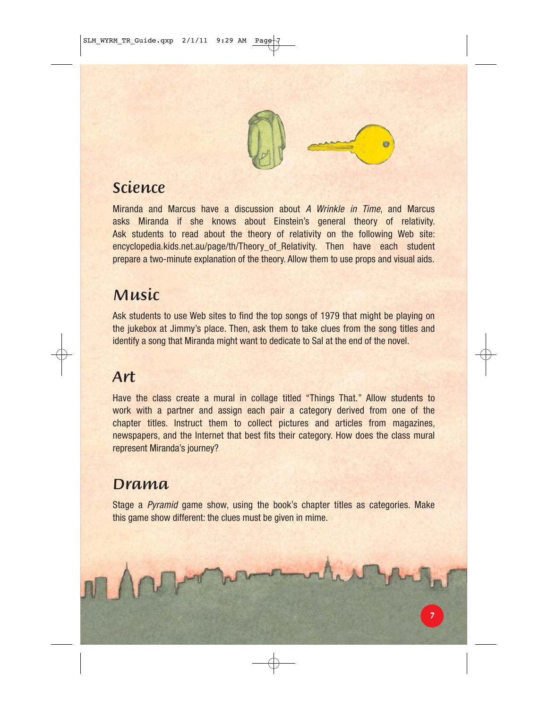

# Science

Miranda and Marcus have a discussion about A Wrinkle in Time, and Marcus asks Miranda if she knows about Einstein's general theory of relativity. Ask students to read about the theory of relativity on the following Web site: encyclopedia.kids.net.au/page/th/Theory\_of\_Relativity. Then have each student prepare a two-minute explanation of the theory. Allow them to use props and visual aids.

### Music

Ask students to use Web sites to find the top songs of 1979 that might be playing on the jukebox at Jimmy's place. Then, ask them to take clues from the song titles and identify a song that Miranda might want to dedicate to Sal at the end of the novel.

### Art

Have the class create a mural in collage titled "Things That." Allow students to work with a partner and assign each pair a category derived from one of the chapter titles. Instruct them to collect pictures and articles from magazines, newspapers, and the Internet that best fits their category. How does the class mural represent Miranda's journey?

#### Drama

Stage a Pyramid game show, using the book's chapter titles as categories. Make this game show different: the clues must be given in mime.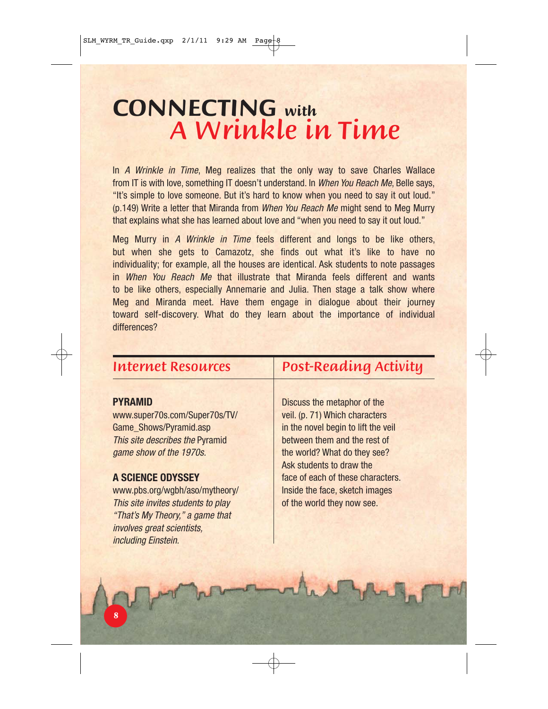# **CONNECTING with** A Wrinkle in Time

In A Wrinkle in Time, Meg realizes that the only way to save Charles Wallace from IT is with love, something IT doesn't understand. In When You Reach Me, Belle says, "It's simple to love someone. But it's hard to know when you need to say it out loud." (p.149) Write a letter that Miranda from When You Reach Me might send to Meg Murry that explains what she has learned about love and "when you need to say it out loud."

Meg Murry in A Wrinkle in Time feels different and longs to be like others, but when she gets to Camazotz, she finds out what it's like to have no individuality; for example, all the houses are identical. Ask students to note passages in When You Reach Me that illustrate that Miranda feels different and wants to be like others, especially Annemarie and Julia. Then stage a talk show where Meg and Miranda meet. Have them engage in dialogue about their journey toward self-discovery. What do they learn about the importance of individual differences?

#### Internet Resources

#### **PYRAMID**

www.super70s.com/Super70s/TV/ Game\_Shows/Pyramid.asp This site describes the Pyramid game show of the 1970s.

#### **A SCIENCE ODYSSEY**

www.pbs.org/wgbh/aso/mytheory/ This site invites students to play "That's My Theory," a game that involves great scientists, including Einstein.

### Post-Reading Activity

Discuss the metaphor of the veil. (p. 71) Which characters in the novel begin to lift the veil between them and the rest of the world? What do they see? Ask students to draw the face of each of these characters. Inside the face, sketch images of the world they now see.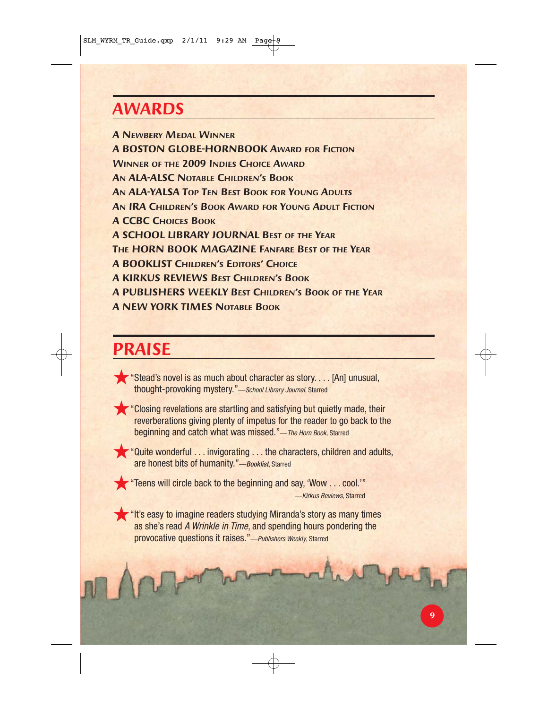# **AWARDS**

**A NEWBERY MEDAL WINNER A BOSTON GLOBE-HORNBOOK AWARD FOR FICTION WINNER OF THE 2009 INDIES CHOICE AWARD AN ALA-ALSC NOTABLE CHILDREN'S BOOK AN ALA-YALSA TOP TEN BEST BOOK FOR YOUNG ADULTS AN IRA CHILDREN'S BOOK AWARD FOR YOUNG ADULT FICTION A CCBC CHOICES BOOK A SCHOOL LIBRARY JOURNAL BEST OF THE YEAR THE HORN BOOK MAGAZINE FANFARE BEST OF THE YEAR A BOOKLIST CHILDREN'S EDITORS' CHOICE A KIRKUS REVIEWS BEST CHILDREN'S BOOK A PUBLISHERS WEEKLY BEST CHILDREN'S BOOK OF THE YEAR A NEW YORK TIMES NOTABLE BOOK**

# **PRAISE**

- ★"Stead's novel is as much about character as story. . . . [An] unusual, thought-provoking mystery."—School Library Journal, Starred
- 

★"Closing revelations are startling and satisfying but quietly made, their reverberations giving plenty of impetus for the reader to go back to the beginning and catch what was missed."-The Horn Book, Starred

★"Quite wonderful . . . invigorating . . . the characters, children and adults, are honest bits of humanity."—Booklist, Starred

★"Teens will circle back to the beginning and say, 'Wow . . . cool.'" —Kirkus Reviews, Starred

★"It's easy to imagine readers studying Miranda's story as many times as she's read A Wrinkle in Time, and spending hours pondering the provocative questions it raises."—Publishers Weekly, Starred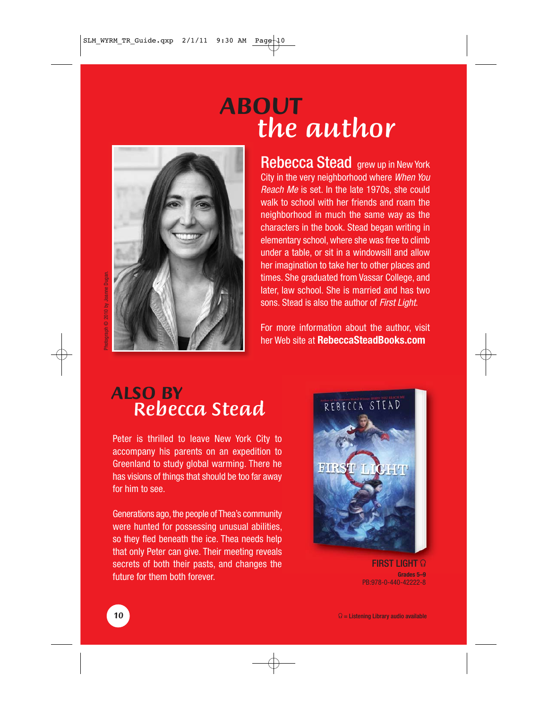# **ABOUT** the author



Rebecca Stead grew up in New York City in the very neighborhood where When You Reach Me is set. In the late 1970s, she could walk to school with her friends and roam the neighborhood in much the same way as the characters in the book. Stead began writing in elementary school, where she was free to climb under a table, or sit in a windowsill and allow her imagination to take her to other places and times. She graduated from Vassar College, and later, law school. She is married and has two sons. Stead is also the author of First Light.

For more information about the author, visit her Web site at **RebeccaSteadBooks.com**

# **ALSO BY** Rebecca Stead

Peter is thrilled to leave New York City to accompany his parents on an expedition to Greenland to study global warming. There he has visions of things that should be too far away for him to see.

Generations ago, the people of Thea's community were hunted for possessing unusual abilities, so they fled beneath the ice. Thea needs help that only Peter can give. Their meeting reveals secrets of both their pasts, and changes the future for them both forever.



**FIRST LIGHT**  $\Omega$ **Grades 5–9** PB:978-0-440-42222-8

Photograph © 2010 by Joanne Dugan.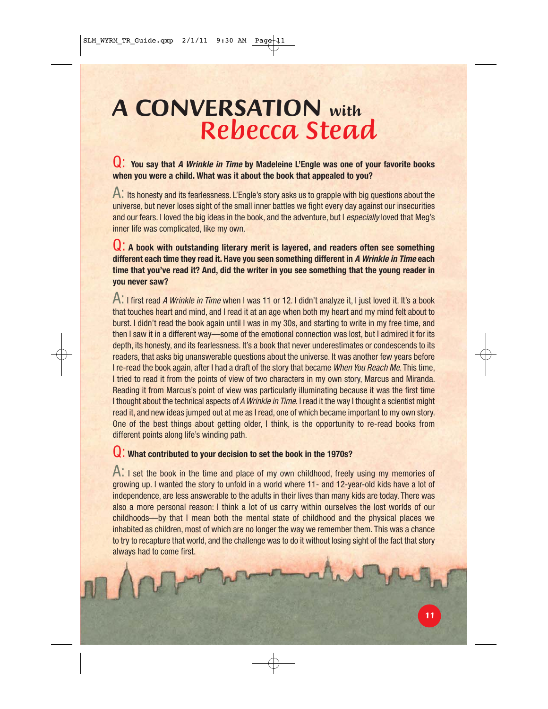# **A CONVERSATION with**  Rebecca Stead

#### Q: **You say that A Wrinkle in Time by Madeleine L'Engle was one of your favorite books when you were a child. What was it about the book that appealed to you?**

A: Its honesty and its fearlessness. L'Engle's story asks us to grapple with big questions about the universe, but never loses sight of the small inner battles we fight every day against our insecurities and our fears. I loved the big ideas in the book, and the adventure, but I especially loved that Meg's inner life was complicated, like my own.

#### Q: **A book with outstanding literary merit is layered, and readers often see something different each time they read it. Have you seen something different in A Wrinkle in Time each time that you've read it? And, did the writer in you see something that the young reader in you never saw?**

A: I first read A Wrinkle in Time when I was 11 or 12. I didn't analyze it, I just loved it. It's a book that touches heart and mind, and I read it at an age when both my heart and my mind felt about to burst. I didn't read the book again until I was in my 30s, and starting to write in my free time, and then I saw it in a different way—some of the emotional connection was lost, but I admired it for its depth, its honesty, and its fearlessness. It's a book that never underestimates or condescends to its readers, that asks big unanswerable questions about the universe. It was another few years before I re-read the book again, after I had a draft of the story that became When You Reach Me. This time, I tried to read it from the points of view of two characters in my own story, Marcus and Miranda. Reading it from Marcus's point of view was particularly illuminating because it was the first time I thought about the technical aspects of A Wrinkle in Time. I read it the way I thought a scientist might read it, and new ideas jumped out at me as I read, one of which became important to my own story. One of the best things about getting older, I think, is the opportunity to re-read books from different points along life's winding path.

#### Q: **What contributed to your decision to set the book in the 1970s?**

A: I set the book in the time and place of my own childhood, freely using my memories of growing up. I wanted the story to unfold in a world where 11- and 12-year-old kids have a lot of independence, are less answerable to the adults in their lives than many kids are today. There was also a more personal reason: I think a lot of us carry within ourselves the lost worlds of our childhoods—by that I mean both the mental state of childhood and the physical places we inhabited as children, most of which are no longer the way we remember them. This was a chance to try to recapture that world, and the challenge was to do it without losing sight of the fact that story always had to come first.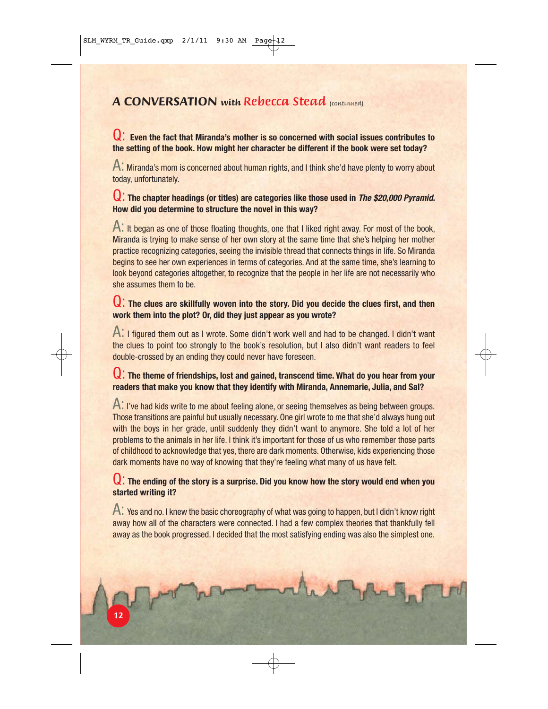#### **A CONVERSATION with Rebecca Stead (continued)**

#### Q: **Even the fact that Miranda's mother is so concerned with social issues contributes to the setting of the book. How might her character be different if the book were set today?**

A: Miranda's mom is concerned about human rights, and I think she'd have plenty to worry about today, unfortunately.

#### Q: The chapter headings (or titles) are categories like those used in *The \$20,000 Pyramid*. **How did you determine to structure the novel in this way?**

A: It began as one of those floating thoughts, one that I liked right away. For most of the book, Miranda is trying to make sense of her own story at the same time that she's helping her mother practice recognizing categories, seeing the invisible thread that connects things in life. So Miranda begins to see her own experiences in terms of categories. And at the same time, she's learning to look beyond categories altogether, to recognize that the people in her life are not necessarily who she assumes them to be.

#### Q: **The clues are skillfully woven into the story. Did you decide the clues first, and then work them into the plot? Or, did they just appear as you wrote?**

A: I figured them out as I wrote. Some didn't work well and had to be changed. I didn't want the clues to point too strongly to the book's resolution, but I also didn't want readers to feel double-crossed by an ending they could never have foreseen.

#### Q: **The theme of friendships, lost and gained, transcend time. What do you hear from your readers that make you know that they identify with Miranda, Annemarie, Julia, and Sal?**

A: I've had kids write to me about feeling alone, or seeing themselves as being between groups. Those transitions are painful but usually necessary. One girl wrote to me that she'd always hung out with the boys in her grade, until suddenly they didn't want to anymore. She told a lot of her problems to the animals in her life. I think it's important for those of us who remember those parts of childhood to acknowledge that yes, there are dark moments. Otherwise, kids experiencing those dark moments have no way of knowing that they're feeling what many of us have felt.

#### Q: **The ending of the story is a surprise. Did you know how the story would end when you started writing it?**

A: Yes and no. I knew the basic choreography of what was going to happen, but I didn't know right away how all of the characters were connected. I had a few complex theories that thankfully fell away as the book progressed. I decided that the most satisfying ending was also the simplest one.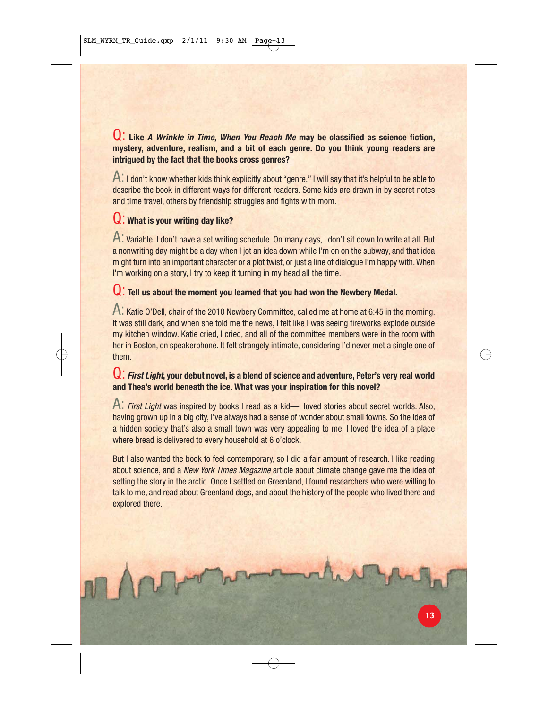#### Q: **Like A Wrinkle in Time, When You Reach Me may be classified as science fiction, mystery, adventure, realism, and a bit of each genre. Do you think young readers are intrigued by the fact that the books cross genres?**

A: I don't know whether kids think explicitly about "genre." I will say that it's helpful to be able to describe the book in different ways for different readers. Some kids are drawn in by secret notes and time travel, others by friendship struggles and fights with mom.

#### Q: **What is your writing day like?**

A: Variable. I don't have a set writing schedule. On many days, I don't sit down to write at all. But a nonwriting day might be a day when I jot an idea down while I'm on on the subway, and that idea might turn into an important character or a plot twist, or just a line of dialogue I'm happy with. When I'm working on a story, I try to keep it turning in my head all the time.

#### Q: **Tell us about the moment you learned that you had won the Newbery Medal.**

A: Katie O'Dell, chair of the 2010 Newbery Committee, called me at home at 6:45 in the morning. It was still dark, and when she told me the news, I felt like I was seeing fireworks explode outside my kitchen window. Katie cried, I cried, and all of the committee members were in the room with her in Boston, on speakerphone. It felt strangely intimate, considering I'd never met a single one of them.

#### Q: **First Light, your debut novel, is a blend of science and adventure, Peter's very real world and Thea's world beneath the ice. What was your inspiration for this novel?**

A: First Light was inspired by books I read as a kid—I loved stories about secret worlds. Also, having grown up in a big city, I've always had a sense of wonder about small towns. So the idea of a hidden society that's also a small town was very appealing to me. I loved the idea of a place where bread is delivered to every household at 6 o'clock.

But I also wanted the book to feel contemporary, so I did a fair amount of research. I like reading about science, and a New York Times Magazine article about climate change gave me the idea of setting the story in the arctic. Once I settled on Greenland, I found researchers who were willing to talk to me, and read about Greenland dogs, and about the history of the people who lived there and explored there.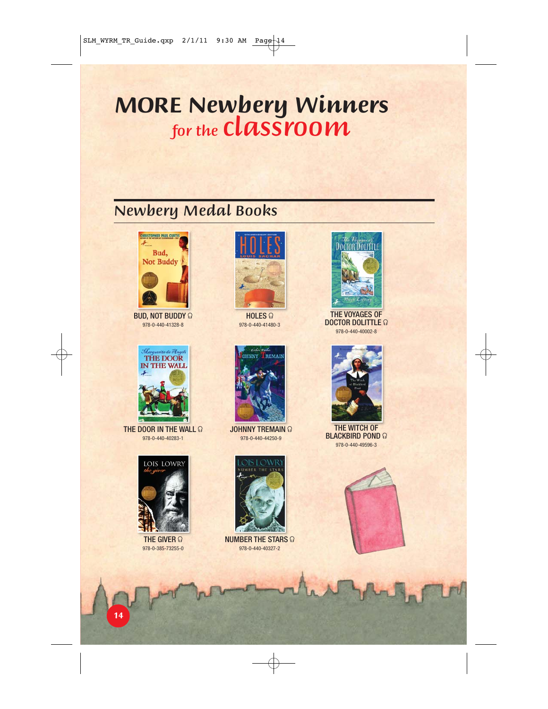# **MORE Newbery Winners** for the  $\boldsymbol{class}$ room

# Newbery Medal Books



BUD, NOT BUDDY  $\Omega$ 978-0-440-41328-8



THE DOOR IN THE WALL  $\Omega$ 978-0-440-40283-1



THE GIVER  $\Omega$ 978-0-385-73255-0



 $HOLES$ 978-0-440-41480-3



**JOHNNY TREMAIN @** 978-0-440-44250-9



NUMBER THE STARS  $\Omega$ 978-0-440-40327-2



THE VOYAGES OF DOCTOR DOLITTLE  $\Omega$ 978-0-440-40002-8



THE WITCH OF BLACKBIRD POND  $\Omega$ 978-0-440-49596-3

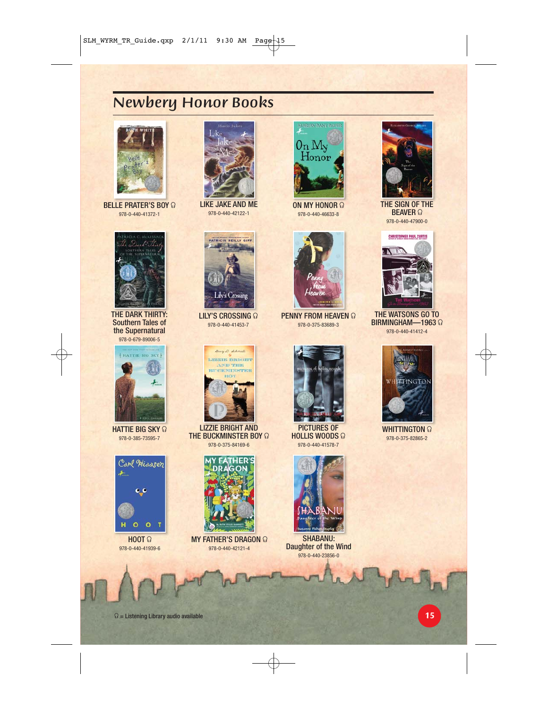### Newbery Honor Books



BELLE PRATER'S BOY  $\Omega$ 978-0-440-41372-1



THE DARK THIRTY: Southern Tales of the Supernatural 978-0-679-89006-5



HATTIE BIG SKY  $\Omega$ 978-0-385-73595-7



 $H$ OOT  $\Omega$ 978-0-440-41939-6



LIKE JAKE AND ME 978-0-440-42122-1



LILY'S CROSSING  $\Omega$ 978-0-440-41453-7



LIZZIE BRIGHT AND THE BUCKMINSTER BOY  $\Omega$ 978-0-375-84169-6



MY FATHER'S DRAGON  $\Omega$ 978-0-440-42121-4



 $ON$  MY HONOR  $\Omega$ 978-0-440-46633-8



PENNY FROM HEAVEN  $\Omega$ 978-0-375-83689-3



PICTURES OF **HOLLIS WOODS** 978-0-440-41578-7



SHABANU: Daughter of the Wind 978-0-440-23856-0



THE SIGN OF THE **BEAVER**  $\Omega$ 978-0-440-47900-0



THE WATSONS GO TO  $BIRMINGHAM - 1963$ 978-0-440-41412-4



WHITTINGTON  $\Omega$ 978-0-375-82865-2